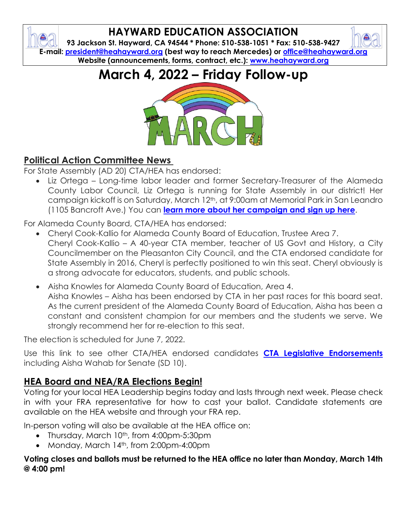# **HAYWARD EDUCATION ASSOCIATION**

**93 Jackson St. Hayward, CA 94544 \* Phone: 510-538-1051 \* Fax: 510-538-9427 E-mail: [president@heahayward.org](mailto:president@heahayward.org) (best way to reach Mercedes) or [office@heahayward.org](mailto:office@heahayward.org) Website (announcements, forms, contract, etc.): [www.heahayward.org](http://www.heahayward.org/)**

**March 4, 2022 – Friday Follow-up**



## **Political Action Committee News**

For State Assembly (AD 20) CTA/HEA has endorsed:

• Liz Ortega – Long-time labor leader and former Secretary-Treasurer of the Alameda County Labor Council, Liz Ortega is running for State Assembly in our district! Her campaign kickoff is on Saturday, March 12th, at 9:00am at Memorial Park in San Leandro (1105 Bancroft Ave.) You can **[learn more about her campaign and sign up here](https://www.ortegaforassembly.com/about)**.

For Alameda County Board, CTA/HEA has endorsed:

- Cheryl Cook-Kallio for Alameda County Board of Education, Trustee Area 7. Cheryl Cook-Kallio – A 40-year CTA member, teacher of US Govt and History, a City Councilmember on the Pleasanton City Council, and the CTA endorsed candidate for State Assembly in 2016, Cheryl is perfectly positioned to win this seat. Cheryl obviously is a strong advocate for educators, students, and public schools.
- Aisha Knowles for Alameda County Board of Education, Area 4. Aisha Knowles – Aisha has been endorsed by CTA in her past races for this board seat. As the current president of the Alameda County Board of Education, Aisha has been a constant and consistent champion for our members and the students we serve. We strongly recommend her for re-election to this seat.

The election is scheduled for June 7, 2022.

Use this link to see other CTA/HEA endorsed candidates **[CTA Legislative Endorsements](https://drive.google.com/file/d/1LpPtqVgjoQq96tdpGOEtAkVP1OKvzoit/view?usp=sharing)** including Aisha Wahab for Senate (SD 10).

## **HEA Board and NEA/RA Elections Begin!**

Voting for your local HEA Leadership begins today and lasts through next week. Please check in with your FRA representative for how to cast your ballot. Candidate statements are available on the HEA website and through your FRA rep.

In-person voting will also be available at the HEA office on:

- Thursday, March 10<sup>th</sup>, from 4:00pm-5:30pm
- Monday, March 14th, from 2:00pm-4:00pm

#### **Voting closes and ballots must be returned to the HEA office no later than Monday, March 14th @ 4:00 pm!**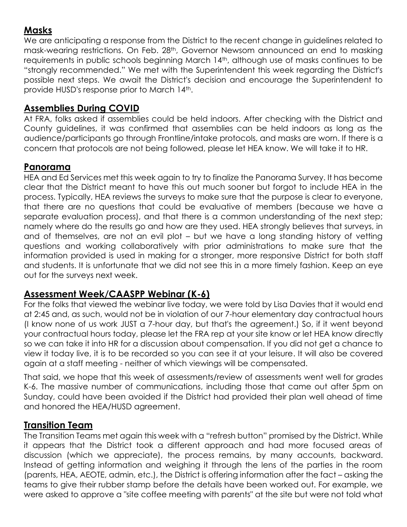## **Masks**

We are anticipating a response from the District to the recent change in guidelines related to mask-wearing restrictions. On Feb. 28th, Governor Newsom announced an end to masking requirements in public schools beginning March 14th, although use of masks continues to be "strongly recommended." We met with the Superintendent this week regarding the District's possible next steps. We await the District's decision and encourage the Superintendent to provide HUSD's response prior to March 14th.

#### **Assemblies During COVID**

At FRA, folks asked if assemblies could be held indoors. After checking with the District and County guidelines, it was confirmed that assemblies can be held indoors as long as the audience/participants go through Frontline/intake protocols, and masks are worn. If there is a concern that protocols are not being followed, please let HEA know. We will take it to HR.

#### **Panorama**

HEA and Ed Services met this week again to try to finalize the Panorama Survey. It has become clear that the District meant to have this out much sooner but forgot to include HEA in the process. Typically, HEA reviews the surveys to make sure that the purpose is clear to everyone, that there are no questions that could be evaluative of members (because we have a separate evaluation process), and that there is a common understanding of the next step; namely where do the results go and how are they used. HEA strongly believes that surveys, in and of themselves, are not an evil plot – but we have a long standing history of vetting questions and working collaboratively with prior administrations to make sure that the information provided is used in making for a stronger, more responsive District for both staff and students. It is unfortunate that we did not see this in a more timely fashion. Keep an eye out for the surveys next week.

## **Assessment Week/CAASPP Webinar (K-6)**

For the folks that viewed the webinar live today, we were told by Lisa Davies that it would end at 2:45 and, as such, would not be in violation of our 7-hour elementary day contractual hours (I know none of us work JUST a 7-hour day, but that's the agreement.) So, if it went beyond your contractual hours today, please let the FRA rep at your site know or let HEA know directly so we can take it into HR for a discussion about compensation. If you did not get a chance to view it today live, it is to be recorded so you can see it at your leisure. It will also be covered again at a staff meeting - neither of which viewings will be compensated.

That said, we hope that this week of assessments/review of assessments went well for grades K-6. The massive number of communications, including those that came out after 5pm on Sunday, could have been avoided if the District had provided their plan well ahead of time and honored the HEA/HUSD agreement.

#### **Transition Team**

The Transition Teams met again this week with a "refresh button" promised by the District. While it appears that the District took a different approach and had more focused areas of discussion (which we appreciate), the process remains, by many accounts, backward. Instead of getting information and weighing it through the lens of the parties in the room (parents, HEA, AEOTE, admin, etc.), the District is offering information after the fact – asking the teams to give their rubber stamp before the details have been worked out. For example, we were asked to approve a "site coffee meeting with parents" at the site but were not told what